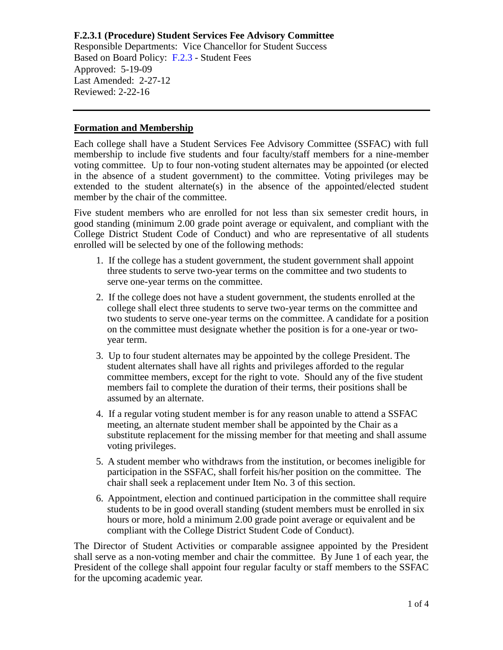Responsible Departments: Vice Chancellor for Student Success Based on Board Policy: [F.2.3](https://www.alamo.edu/siteassets/district/about-us/leadership/board-of-trustees/policies-pdfs/section-f/f.2.3-policy.pdf) - Student Fees Approved: 5-19-09 Last Amended: 2-27-12 Reviewed: 2-22-16

#### **Formation and Membership**

Each college shall have a Student Services Fee Advisory Committee (SSFAC) with full membership to include five students and four faculty/staff members for a nine-member voting committee. Up to four non-voting student alternates may be appointed (or elected in the absence of a student government) to the committee. Voting privileges may be extended to the student alternate(s) in the absence of the appointed/elected student member by the chair of the committee.

Five student members who are enrolled for not less than six semester credit hours, in good standing (minimum 2.00 grade point average or equivalent, and compliant with the College District Student Code of Conduct) and who are representative of all students enrolled will be selected by one of the following methods:

- 1. If the college has a student government, the student government shall appoint three students to serve two-year terms on the committee and two students to serve one-year terms on the committee.
- 2. If the college does not have a student government, the students enrolled at the college shall elect three students to serve two-year terms on the committee and two students to serve one-year terms on the committee. A candidate for a position on the committee must designate whether the position is for a one-year or twoyear term.
- 3. Up to four student alternates may be appointed by the college President. The student alternates shall have all rights and privileges afforded to the regular committee members, except for the right to vote. Should any of the five student members fail to complete the duration of their terms, their positions shall be assumed by an alternate.
- 4. If a regular voting student member is for any reason unable to attend a SSFAC meeting, an alternate student member shall be appointed by the Chair as a substitute replacement for the missing member for that meeting and shall assume voting privileges.
- 5. A student member who withdraws from the institution, or becomes ineligible for participation in the SSFAC, shall forfeit his/her position on the committee. The chair shall seek a replacement under Item No. 3 of this section.
- 6. Appointment, election and continued participation in the committee shall require students to be in good overall standing (student members must be enrolled in six hours or more, hold a minimum 2.00 grade point average or equivalent and be compliant with the College District Student Code of Conduct).

The Director of Student Activities or comparable assignee appointed by the President shall serve as a non-voting member and chair the committee. By June 1 of each year, the President of the college shall appoint four regular faculty or staff members to the SSFAC for the upcoming academic year.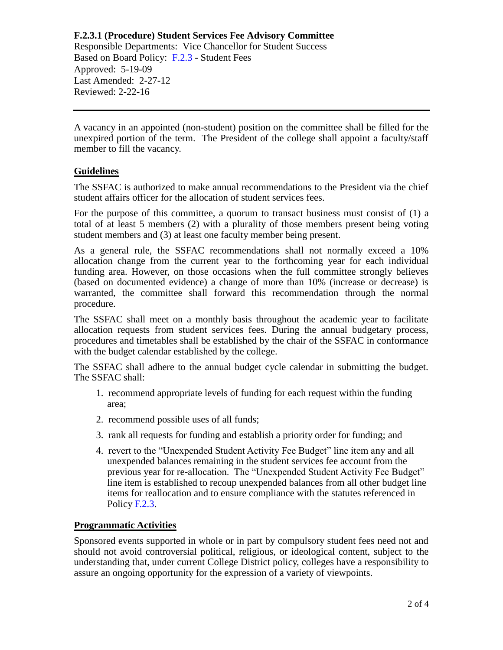Responsible Departments: Vice Chancellor for Student Success Based on Board Policy: [F.2.3](https://www.alamo.edu/siteassets/district/about-us/leadership/board-of-trustees/policies-pdfs/section-f/f.2.3-policy.pdf) - Student Fees Approved: 5-19-09 Last Amended: 2-27-12 Reviewed: 2-22-16

A vacancy in an appointed (non-student) position on the committee shall be filled for the unexpired portion of the term. The President of the college shall appoint a faculty/staff member to fill the vacancy.

#### **Guidelines**

The SSFAC is authorized to make annual recommendations to the President via the chief student affairs officer for the allocation of student services fees.

For the purpose of this committee, a quorum to transact business must consist of (1) a total of at least 5 members (2) with a plurality of those members present being voting student members and (3) at least one faculty member being present.

As a general rule, the SSFAC recommendations shall not normally exceed a 10% allocation change from the current year to the forthcoming year for each individual funding area. However, on those occasions when the full committee strongly believes (based on documented evidence) a change of more than 10% (increase or decrease) is warranted, the committee shall forward this recommendation through the normal procedure.

The SSFAC shall meet on a monthly basis throughout the academic year to facilitate allocation requests from student services fees. During the annual budgetary process, procedures and timetables shall be established by the chair of the SSFAC in conformance with the budget calendar established by the college.

The SSFAC shall adhere to the annual budget cycle calendar in submitting the budget. The SSFAC shall:

- 1. recommend appropriate levels of funding for each request within the funding area;
- 2. recommend possible uses of all funds;
- 3. rank all requests for funding and establish a priority order for funding; and
- 4. revert to the "Unexpended Student Activity Fee Budget" line item any and all unexpended balances remaining in the student services fee account from the previous year for re-allocation. The "Unexpended Student Activity Fee Budget" line item is established to recoup unexpended balances from all other budget line items for reallocation and to ensure compliance with the statutes referenced in Policy [F.2.3.](https://www.alamo.edu/siteassets/district/about-us/leadership/board-of-trustees/policies-pdfs/section-f/f.2.3-policy.pdf)

### **Programmatic Activities**

Sponsored events supported in whole or in part by compulsory student fees need not and should not avoid controversial political, religious, or ideological content, subject to the understanding that, under current College District policy, colleges have a responsibility to assure an ongoing opportunity for the expression of a variety of viewpoints.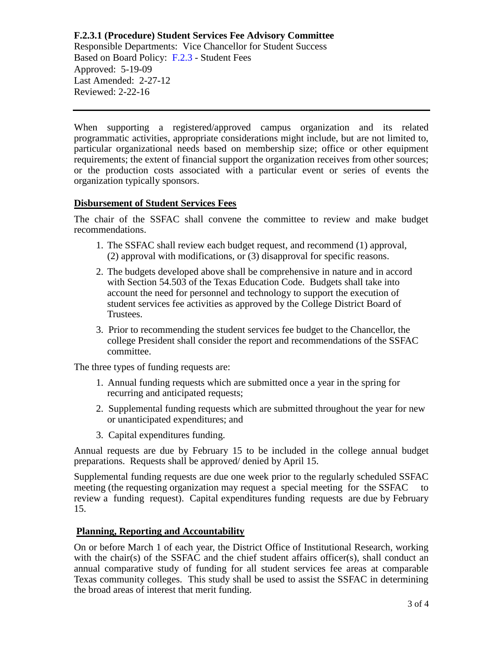Responsible Departments: Vice Chancellor for Student Success Based on Board Policy: [F.2.3](https://www.alamo.edu/siteassets/district/about-us/leadership/board-of-trustees/policies-pdfs/section-f/f.2.3-policy.pdf) - Student Fees Approved: 5-19-09 Last Amended: 2-27-12 Reviewed: 2-22-16

When supporting a registered/approved campus organization and its related programmatic activities, appropriate considerations might include, but are not limited to, particular organizational needs based on membership size; office or other equipment requirements; the extent of financial support the organization receives from other sources; or the production costs associated with a particular event or series of events the organization typically sponsors.

#### **Disbursement of Student Services Fees**

The chair of the SSFAC shall convene the committee to review and make budget recommendations.

- 1. The SSFAC shall review each budget request, and recommend (1) approval, (2) approval with modifications, or (3) disapproval for specific reasons.
- 2. The budgets developed above shall be comprehensive in nature and in accord with Section 54.503 of the Texas Education Code. Budgets shall take into account the need for personnel and technology to support the execution of student services fee activities as approved by the College District Board of Trustees.
- 3. Prior to recommending the student services fee budget to the Chancellor, the college President shall consider the report and recommendations of the SSFAC committee.

The three types of funding requests are:

- 1. Annual funding requests which are submitted once a year in the spring for recurring and anticipated requests;
- 2. Supplemental funding requests which are submitted throughout the year for new or unanticipated expenditures; and
- 3. Capital expenditures funding.

Annual requests are due by February 15 to be included in the college annual budget preparations. Requests shall be approved/ denied by April 15.

Supplemental funding requests are due one week prior to the regularly scheduled SSFAC meeting (the requesting organization may request a special meeting for the SSFAC to review a funding request). Capital expenditures funding requests are due by February 15.

### **Planning, Reporting and Accountability**

On or before March 1 of each year, the District Office of Institutional Research, working with the chair(s) of the SSFAC and the chief student affairs officer(s), shall conduct an annual comparative study of funding for all student services fee areas at comparable Texas community colleges. This study shall be used to assist the SSFAC in determining the broad areas of interest that merit funding.